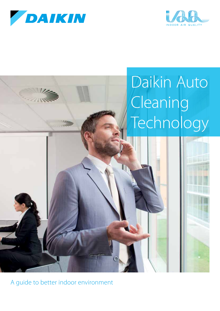





A guide to better indoor environment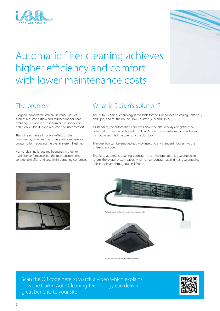



# The problem

Clogged indoor filters can cause various issues such as reduced airflow and reduced indoor heat exchange surface, which in turn causes indoor air pollution, visible dirt and reduced end-user comfort.

This will also have a knock-on effect on the compressor, by increasing its frequency and energy consumption, reducing the overall system lifetime.

Manual cleaning is required frequently in order to maximise performance, but this maintenance takes considerable effort and cost, while disrupting customers.

## What is Daikin's solution?

The Auto Cleaning Technology is available for the slim concealed ceiling units (VRV and Split) and for the Round Flow Cassette (VRV and Sky Air).

As standard, the automatic cleaner will clean the filter weekly and gather the collected dust into a dedicated dust box. An alert on a centralised controller will instruct when it is time to empty the dust box.

The dust box can be emptied easily by inserting any standard hoover into the unit-suction port.

Thanks to automatic cleaning a constant, dust-free operation is guaranteed. In return, the overall system capacity will remain constant at all times, guaranteeing efficiency levels throughout its lifetime.







*Round flow cassette auto cleaning panel*

Scan the QR code here to watch a video which explains how the Daikin Auto Cleaning Technology can deliver great benefits to your site

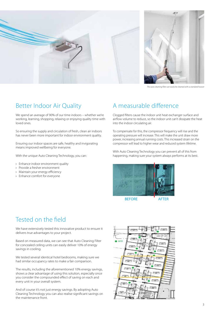



*The auto cleaning filter can easily be cleaned with a standard hoover*

# Better Indoor Air Quality

We spend an average of 90% of our time indoors – whether we're working, learning, shopping, relaxing or enjoying quality time with loved ones.

So ensuring the supply and circulation of fresh, clean air indoors has never been more important for indoor environment quality.

Ensuring our indoor spaces are safe, healthy and invigorating means improved wellbeing for everyone.

With the unique Auto Cleaning Technology, you can:

- › Enhance indoor environment quality
- › Provide a fresher environment
- › Maintain your energy efficiency
- › Enhance comfort for everyone

# A measurable difference

Clogged filters cause the indoor unit heat exchanger surface and airflow volume to reduce, so the indoor unit can't dissipate the heat into the indoor circulating air.

To compensate for this, the compressor frequency will rise and the operating pressure will increase. This will make the unit draw more power, increasing annual running costs. This increased strain on the compressor will lead to higher wear and reduced system lifetime.

With Auto Cleaning Technology you can prevent all of this from happening, making sure your system always performs at its best.



BEFORE **AFTER** 

### Tested on the field

We have extensively tested this innovative product to ensure it delivers true advantages to your project.

Based on measured data, we can see that Auto Cleaning Filter for concealed ceiling units can easily deliver 10% of energy savings in cooling.

We tested several identical hotel bedrooms, making sure we had similar occupancy rates to make a fair comparison.

The results, including the aforementioned 10% energy savings, shows a clear advantage of using this solution, especially once you consider the compounded effect of saving on each and every unit in your overall system.

And of course it's not just energy savings. By adopting Auto Cleaning Technology you can also realise significant savings on the maintenance front.